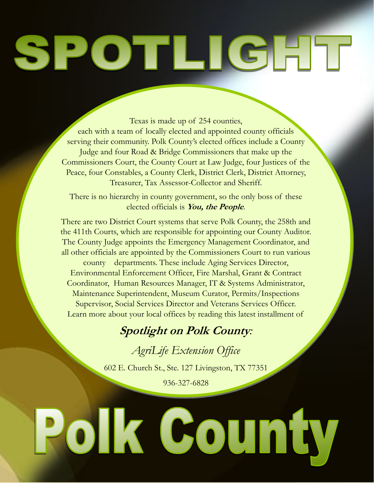## POTLIGHT 5

Texas is made up of 254 counties, each with a team of locally elected and appointed county officials serving their community. Polk County's elected offices include a County Judge and four Road & Bridge Commissioners that make up the Commissioners Court, the County Court at Law Judge, four Justices of the Peace, four Constables, a County Clerk, District Clerk, District Attorney, Treasurer, Tax Assessor-Collector and Sheriff.

There is no hierarchy in county government, so the only boss of these elected officials is **You, the People**.

There are two District Court systems that serve Polk County, the 258th and the 411th Courts, which are responsible for appointing our County Auditor. The County Judge appoints the Emergency Management Coordinator, and all other officials are appointed by the Commissioners Court to run various

county departments. These include Aging Services Director, Environmental Enforcement Officer, Fire Marshal, Grant & Contract Coordinator, Human Resources Manager, IT & Systems Administrator, Maintenance Superintendent, Museum Curator, Permits/Inspections Supervisor, Social Services Director and Veterans Services Officer. Learn more about your local offices by reading this latest installment of

## **Spotlight on Polk County***:*

*AgriLife Extension Office*

602 E. Church St., Ste. 127 Livingston, TX 77351

936-327-6828

## Polk County